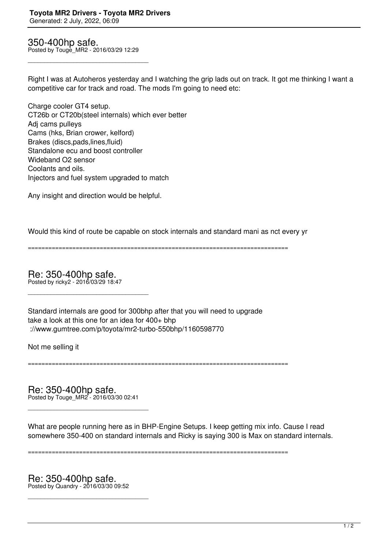350-400hp safe. Posted by Touge\_MR2 - 2016/03/29 12:29

\_\_\_\_\_\_\_\_\_\_\_\_\_\_\_\_\_\_\_\_\_\_\_\_\_\_\_\_\_\_\_\_\_\_\_\_\_

Right I was at Autoheros yesterday and I watching the grip lads out on track. It got me thinking I want a competitive car for track and road. The mods I'm going to need etc:

Charge cooler GT4 setup. CT26b or CT20b(steel internals) which ever better Adj cams pulleys Cams (hks, Brian crower, kelford) Brakes (discs,pads,lines,fluid) Standalone ecu and boost controller Wideband O2 sensor Coolants and oils. Injectors and fuel system upgraded to match

Any insight and direction would be helpful.

Would this kind of route be capable on stock internals and standard mani as nct every yr

============================================================================

Re: 350-400hp safe. Posted by ricky2 - 2016/03/29 18:47

\_\_\_\_\_\_\_\_\_\_\_\_\_\_\_\_\_\_\_\_\_\_\_\_\_\_\_\_\_\_\_\_\_\_\_\_\_

Standard internals are good for 300bhp after that you will need to upgrade take a look at this one for an idea for 400+ bhp ://www.gumtree.com/p/toyota/mr2-turbo-550bhp/1160598770

Not me selling it

============================================================================

Re: 350-400hp safe. Posted by Touge\_MR2 - 2016/03/30 02:41

\_\_\_\_\_\_\_\_\_\_\_\_\_\_\_\_\_\_\_\_\_\_\_\_\_\_\_\_\_\_\_\_\_\_\_\_\_

What are people running here as in BHP-Engine Setups. I keep getting mix info. Cause I read somewhere 350-400 on standard internals and Ricky is saying 300 is Max on standard internals.

============================================================================

Re: 350-400hp safe. Posted by Quandry - 2016/03/30 09:52

\_\_\_\_\_\_\_\_\_\_\_\_\_\_\_\_\_\_\_\_\_\_\_\_\_\_\_\_\_\_\_\_\_\_\_\_\_